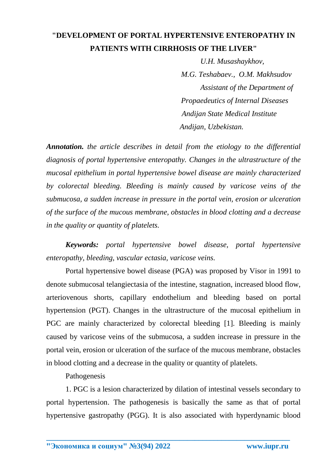## **"DEVELOPMENT OF PORTAL HYPERTENSIVE ENTEROPATHY IN PATIENTS WITH CIRRHOSIS OF THE LIVER"**

*U.H. Musashaykhov, M.G. Teshabaev., O.M. Makhsudov Assistant of the Department of Propaedeutics of Internal Diseases Andijan State Medical Institute Andijan, Uzbekistan.*

*Annotation. the article describes in detail from the etiology to the differential diagnosis of portal hypertensive enteropathy. Changes in the ultrastructure of the mucosal epithelium in portal hypertensive bowel disease are mainly characterized by colorectal bleeding. Bleeding is mainly caused by varicose veins of the submucosa, a sudden increase in pressure in the portal vein, erosion or ulceration of the surface of the mucous membrane, obstacles in blood clotting and a decrease in the quality or quantity of platelets.*

*Keywords: portal hypertensive bowel disease, portal hypertensive enteropathy, bleeding, vascular ectasia, varicose veins.*

Portal hypertensive bowel disease (PGA) was proposed by Visor in 1991 to denote submucosal telangiectasia of the intestine, stagnation, increased blood flow, arteriovenous shorts, capillary endothelium and bleeding based on portal hypertension (PGT). Changes in the ultrastructure of the mucosal epithelium in PGC are mainly characterized by colorectal bleeding [1]. Bleeding is mainly caused by varicose veins of the submucosa, a sudden increase in pressure in the portal vein, erosion or ulceration of the surface of the mucous membrane, obstacles in blood clotting and a decrease in the quality or quantity of platelets.

Pathogenesis

1. PGC is a lesion characterized by dilation of intestinal vessels secondary to portal hypertension. The pathogenesis is basically the same as that of portal hypertensive gastropathy (PGG). It is also associated with hyperdynamic blood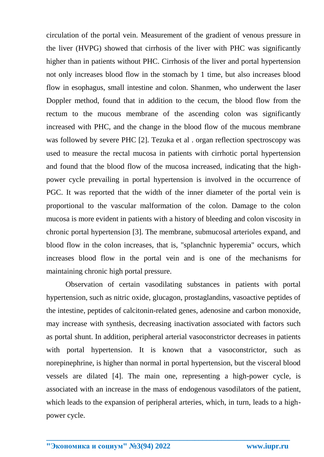circulation of the portal vein. Measurement of the gradient of venous pressure in the liver (HVPG) showed that cirrhosis of the liver with PHC was significantly higher than in patients without PHC. Cirrhosis of the liver and portal hypertension not only increases blood flow in the stomach by 1 time, but also increases blood flow in esophagus, small intestine and colon. Shanmen, who underwent the laser Doppler method, found that in addition to the cecum, the blood flow from the rectum to the mucous membrane of the ascending colon was significantly increased with PHC, and the change in the blood flow of the mucous membrane was followed by severe PHC [2]. Tezuka et al . organ reflection spectroscopy was used to measure the rectal mucosa in patients with cirrhotic portal hypertension and found that the blood flow of the mucosa increased, indicating that the highpower cycle prevailing in portal hypertension is involved in the occurrence of PGC. It was reported that the width of the inner diameter of the portal vein is proportional to the vascular malformation of the colon. Damage to the colon mucosa is more evident in patients with a history of bleeding and colon viscosity in chronic portal hypertension [3]. The membrane, submucosal arterioles expand, and blood flow in the colon increases, that is, "splanchnic hyperemia" occurs, which increases blood flow in the portal vein and is one of the mechanisms for maintaining chronic high portal pressure.

Observation of certain vasodilating substances in patients with portal hypertension, such as nitric oxide, glucagon, prostaglandins, vasoactive peptides of the intestine, peptides of calcitonin-related genes, adenosine and carbon monoxide, may increase with synthesis, decreasing inactivation associated with factors such as portal shunt. In addition, peripheral arterial vasoconstrictor decreases in patients with portal hypertension. It is known that a vasoconstrictor, such as norepinephrine, is higher than normal in portal hypertension, but the visceral blood vessels are dilated [4]. The main one, representing a high-power cycle, is associated with an increase in the mass of endogenous vasodilators of the patient, which leads to the expansion of peripheral arteries, which, in turn, leads to a highpower cycle.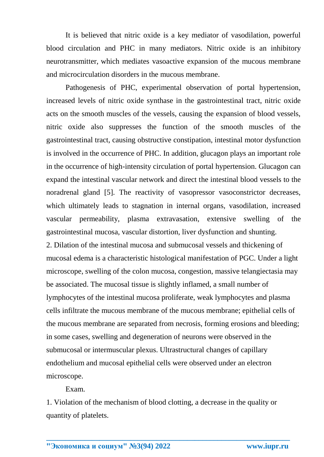It is believed that nitric oxide is a key mediator of vasodilation, powerful blood circulation and PHC in many mediators. Nitric oxide is an inhibitory neurotransmitter, which mediates vasoactive expansion of the mucous membrane and microcirculation disorders in the mucous membrane.

Pathogenesis of PHC, experimental observation of portal hypertension, increased levels of nitric oxide synthase in the gastrointestinal tract, nitric oxide acts on the smooth muscles of the vessels, causing the expansion of blood vessels, nitric oxide also suppresses the function of the smooth muscles of the gastrointestinal tract, causing obstructive constipation, intestinal motor dysfunction is involved in the occurrence of PHC. In addition, glucagon plays an important role in the occurrence of high-intensity circulation of portal hypertension. Glucagon can expand the intestinal vascular network and direct the intestinal blood vessels to the noradrenal gland [5]. The reactivity of vasopressor vasoconstrictor decreases, which ultimately leads to stagnation in internal organs, vasodilation, increased vascular permeability, plasma extravasation, extensive swelling of the gastrointestinal mucosa, vascular distortion, liver dysfunction and shunting. 2. Dilation of the intestinal mucosa and submucosal vessels and thickening of mucosal edema is a characteristic histological manifestation of PGC. Under a light microscope, swelling of the colon mucosa, congestion, massive telangiectasia may be associated. The mucosal tissue is slightly inflamed, a small number of lymphocytes of the intestinal mucosa proliferate, weak lymphocytes and plasma cells infiltrate the mucous membrane of the mucous membrane; epithelial cells of the mucous membrane are separated from necrosis, forming erosions and bleeding; in some cases, swelling and degeneration of neurons were observed in the submucosal or intermuscular plexus. Ultrastructural changes of capillary endothelium and mucosal epithelial cells were observed under an electron microscope.

Exam.

1. Violation of the mechanism of blood clotting, a decrease in the quality or quantity of platelets.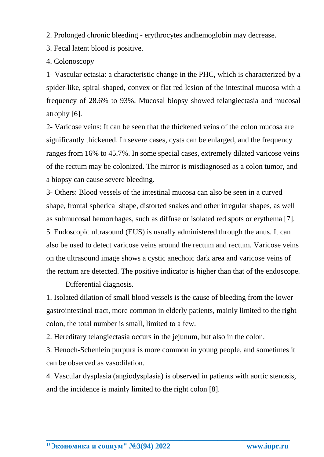2. Prolonged chronic bleeding - erythrocytes andhemoglobin may decrease.

3. Fecal latent blood is positive.

4. Colonoscopy

1- Vascular ectasia: a characteristic change in the PHC, which is characterized by a spider-like, spiral-shaped, convex or flat red lesion of the intestinal mucosa with a frequency of 28.6% to 93%. Mucosal biopsy showed telangiectasia and mucosal atrophy [6].

2- Varicose veins: It can be seen that the thickened veins of the colon mucosa are significantly thickened. In severe cases, cysts can be enlarged, and the frequency ranges from 16% to 45.7%. In some special cases, extremely dilated varicose veins of the rectum may be colonized. The mirror is misdiagnosed as a colon tumor, and a biopsy can cause severe bleeding.

3- Others: Blood vessels of the intestinal mucosa can also be seen in a curved shape, frontal spherical shape, distorted snakes and other irregular shapes, as well as submucosal hemorrhages, such as diffuse or isolated red spots or erythema [7]. 5. Endoscopic ultrasound (EUS) is usually administered through the anus. It can also be used to detect varicose veins around the rectum and rectum. Varicose veins on the ultrasound image shows a cystic anechoic dark area and varicose veins of the rectum are detected. The positive indicator is higher than that of the endoscope.

Differential diagnosis.

1. Isolated dilation of small blood vessels is the cause of bleeding from the lower gastrointestinal tract, more common in elderly patients, mainly limited to the right colon, the total number is small, limited to a few.

2. Hereditary telangiectasia occurs in the jejunum, but also in the colon.

3. Henoch-Schenlein purpura is more common in young people, and sometimes it can be observed as vasodilation.

4. Vascular dysplasia (angiodysplasia) is observed in patients with aortic stenosis, and the incidence is mainly limited to the right colon [8].